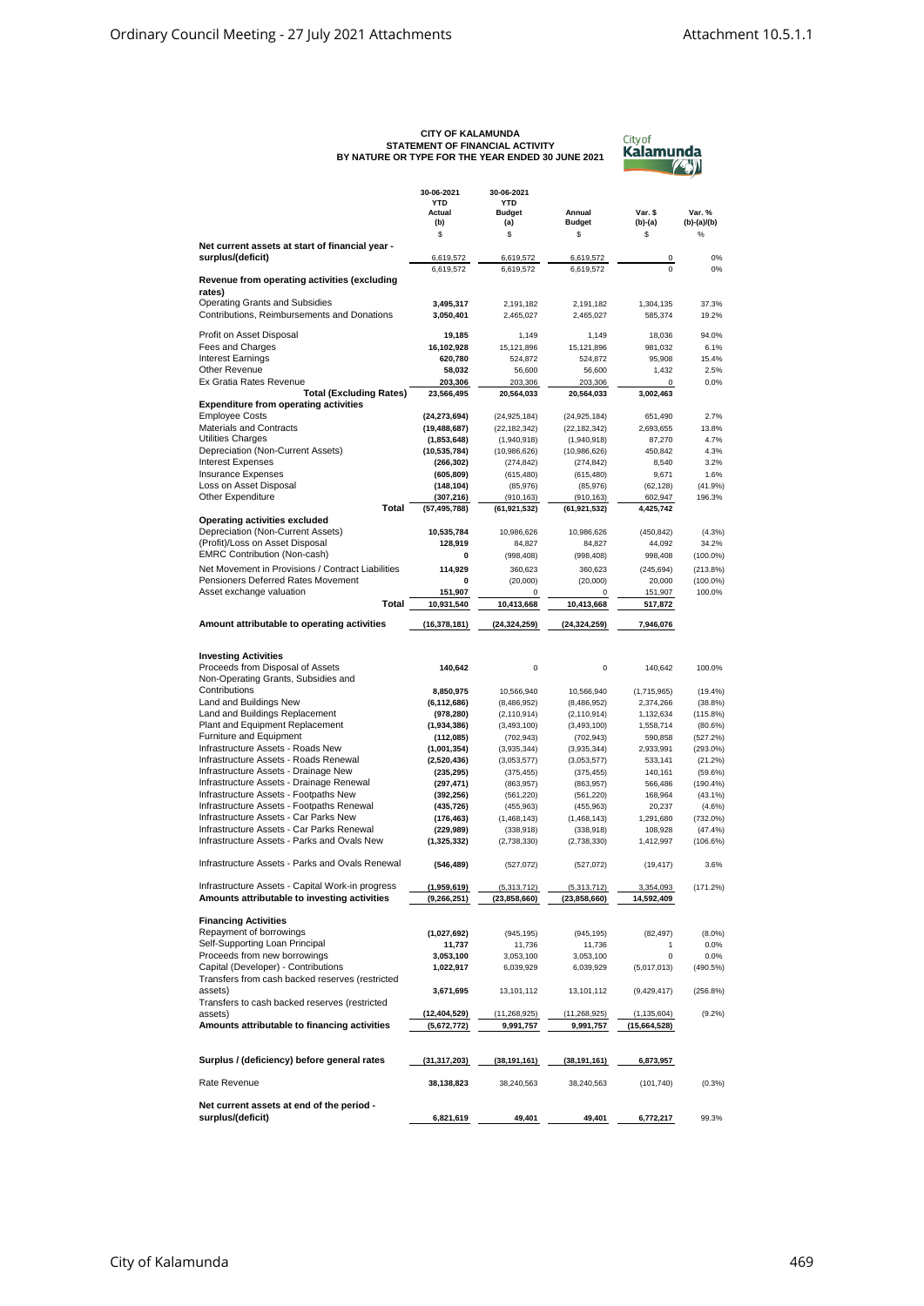## **CITY OF KALAMUNDA STATEMENT OF FINANCIAL ACTIVITY BY NATURE OR TYPE FOR THE YEAR ENDED 30 JUNE 2021**

| Cityof           |
|------------------|
| <b>Kalamunda</b> |
|                  |

|                                                                                                  | 30-06-2021<br><b>YTD</b><br>Actual<br>(b) | 30-06-2021<br><b>YTD</b><br><b>Budget</b><br>(a) | Annual<br><b>Budget</b>       | Var. \$<br>(b)-(a)            | Var. %<br>(b)-(a)/(b)     |
|--------------------------------------------------------------------------------------------------|-------------------------------------------|--------------------------------------------------|-------------------------------|-------------------------------|---------------------------|
| Net current assets at start of financial year -                                                  | \$                                        | \$                                               | \$                            | \$                            | $\%$                      |
| surplus/(deficit)                                                                                | 6,619,572                                 | 6,619,572                                        | 6,619,572                     | 0                             | 0%                        |
| Revenue from operating activities (excluding                                                     | 6,619,572                                 | 6,619,572                                        | 6,619,572                     | $\Omega$                      | $0\%$                     |
| rates)<br><b>Operating Grants and Subsidies</b>                                                  | 3,495,317                                 | 2,191,182                                        | 2,191,182                     | 1,304,135                     | 37.3%                     |
| Contributions, Reimbursements and Donations                                                      | 3,050,401                                 | 2,465,027                                        | 2,465,027                     | 585,374                       | 19.2%                     |
| Profit on Asset Disposal                                                                         | 19,185                                    | 1,149                                            | 1,149                         | 18,036                        | 94.0%                     |
| Fees and Charges                                                                                 | 16,102,928                                | 15,121,896                                       | 15,121,896                    | 981,032                       | 6.1%                      |
| <b>Interest Earnings</b>                                                                         | 620,780                                   | 524,872                                          | 524,872                       | 95,908                        | 15.4%                     |
| Other Revenue<br>Ex Gratia Rates Revenue                                                         | 58,032<br>203,306                         | 56,600<br>203,306                                | 56,600<br>203,306             | 1,432<br>0                    | 2.5%<br>0.0%              |
| <b>Total (Excluding Rates)</b>                                                                   | 23,566,495                                | 20,564,033                                       | 20,564,033                    | 3,002,463                     |                           |
| <b>Expenditure from operating activities</b>                                                     |                                           |                                                  |                               |                               |                           |
| <b>Employee Costs</b><br><b>Materials and Contracts</b>                                          | (24, 273, 694)                            | (24, 925, 184)                                   | (24, 925, 184)                | 651,490                       | 2.7%                      |
| <b>Utilities Charges</b>                                                                         | (19, 488, 687)<br>(1,853,648)             | (22, 182, 342)<br>(1,940,918)                    | (22, 182, 342)<br>(1,940,918) | 2,693,655<br>87,270           | 13.8%<br>4.7%             |
| Depreciation (Non-Current Assets)                                                                | (10,535,784)                              | (10,986,626)                                     | (10,986,626)                  | 450,842                       | 4.3%                      |
| <b>Interest Expenses</b>                                                                         | (266, 302)                                | (274, 842)                                       | (274, 842)                    | 8,540                         | 3.2%                      |
| <b>Insurance Expenses</b>                                                                        | (605, 809)                                | (615, 480)                                       | (615, 480)                    | 9,671                         | 1.6%                      |
| Loss on Asset Disposal                                                                           | (148, 104)                                | (85, 976)                                        | (85, 976)                     | (62, 128)                     | (41.9%                    |
| Other Expenditure<br>Total                                                                       | (307, 216)<br>(57, 495, 788)              | (910, 163)<br>(61, 921, 532)                     | (910, 163)<br>(61, 921, 532)  | 602,947<br>4,425,742          | 196.3%                    |
| <b>Operating activities excluded</b>                                                             |                                           |                                                  |                               |                               |                           |
| Depreciation (Non-Current Assets)                                                                | 10,535,784                                | 10,986,626                                       | 10,986,626                    | (450, 842)                    | (4.3%)                    |
| (Profit)/Loss on Asset Disposal                                                                  | 128.919                                   | 84,827                                           | 84,827                        | 44,092                        | 34.2%                     |
| <b>EMRC Contribution (Non-cash)</b>                                                              | 0                                         | (998, 408)                                       | (998, 408)                    | 998,408                       | $(100.0\%)$               |
| Net Movement in Provisions / Contract Liabilities                                                | 114,929                                   | 360,623                                          | 360,623                       | (245, 694)                    | $(213.8\%)$               |
| Pensioners Deferred Rates Movement<br>Asset exchange valuation                                   | 0<br>151,907                              | (20,000)<br>0                                    | (20,000)<br>0                 | 20,000<br>151,907             | $(100.0\%)$<br>100.0%     |
| Total                                                                                            | 10,931,540                                | 10,413,668                                       | 10,413,668                    | 517,872                       |                           |
| Amount attributable to operating activities                                                      | (16,378,181)                              | (24, 324, 259)                                   | (24, 324, 259)                | 7,946,076                     |                           |
|                                                                                                  |                                           |                                                  |                               |                               |                           |
| <b>Investing Activities</b>                                                                      |                                           |                                                  |                               |                               |                           |
| Proceeds from Disposal of Assets                                                                 | 140,642                                   | $\mathbf 0$                                      | $\mathbf 0$                   | 140,642                       | 100.0%                    |
| Non-Operating Grants, Subsidies and                                                              |                                           |                                                  |                               |                               |                           |
| Contributions<br>Land and Buildings New                                                          | 8,850,975<br>(6, 112, 686)                | 10,566,940<br>(8,486,952)                        | 10,566,940<br>(8,486,952)     | (1,715,965)<br>2,374,266      | (19.4%<br>(38.8%)         |
| Land and Buildings Replacement                                                                   | (978, 280)                                | (2, 110, 914)                                    | (2, 110, 914)                 | 1,132,634                     | $(115.8\%)$               |
| Plant and Equipment Replacement                                                                  | (1,934,386)                               | (3,493,100)                                      | (3,493,100)                   | 1,558,714                     | $(80.6\%)$                |
| Furniture and Equipment                                                                          | (112,085)                                 | (702, 943)                                       | (702, 943)                    | 590,858                       | (527.2%)                  |
| Infrastructure Assets - Roads New                                                                | (1,001,354)                               | (3,935,344)                                      | (3,935,344)                   | 2,933,991                     | $(293.0\%)$               |
| Infrastructure Assets - Roads Renewal                                                            | (2,520,436)                               | (3,053,577)                                      | (3,053,577)                   | 533,141                       | (21.2%                    |
| Infrastructure Assets - Drainage New<br>Infrastructure Assets - Drainage Renewal                 | (235, 295)<br>(297, 471)                  | (375, 455)<br>(863, 957)                         | (375, 455)<br>(863, 957)      | 140,161<br>566,486            | $(59.6\%)$<br>$(190.4\%)$ |
| Infrastructure Assets - Footpaths New                                                            | (392, 256)                                | (561, 220)                                       | (561, 220)                    | 168,964                       | (43.1%                    |
| Infrastructure Assets - Footpaths Renewal                                                        | (435, 726)                                | (455, 963)                                       | (455, 963)                    | 20,237                        | (4.6%                     |
| Infrastructure Assets - Car Parks New                                                            | (176, 463)                                | (1,468,143)                                      | (1,468,143)                   | 1,291,680                     | $(732.0\%)$               |
| Infrastructure Assets - Car Parks Renewal                                                        | (229, 989)                                | (338, 918)                                       | (338, 918)                    | 108,928                       | (47.4%                    |
| Infrastructure Assets - Parks and Ovals New                                                      | (1,325,332)                               | (2,738,330)                                      | (2,738,330)                   | 1,412,997                     | $(106.6\%)$               |
| Infrastructure Assets - Parks and Ovals Renewal                                                  | (546, 489)                                | (527, 072)                                       | (527, 072)                    | (19, 417)                     | 3.6%                      |
| Infrastructure Assets - Capital Work-in progress<br>Amounts attributable to investing activities | (1,959,619)                               | (5,313,712)                                      | (5,313,712)                   | 3,354,093<br>14,592,409       | (171.2%)                  |
|                                                                                                  | (9, 266, 251)                             | (23,858,660)                                     | (23,858,660)                  |                               |                           |
| <b>Financing Activities</b>                                                                      |                                           |                                                  |                               |                               |                           |
| Repayment of borrowings                                                                          | (1,027,692)                               | (945, 195)                                       | (945, 195)                    | (82, 497)                     | $(8.0\%)$                 |
| Self-Supporting Loan Principal                                                                   | 11,737                                    | 11,736                                           | 11,736                        | 1                             | 0.0%                      |
| Proceeds from new borrowings                                                                     | 3,053,100                                 | 3,053,100                                        | 3,053,100                     | 0                             | 0.0%                      |
| Capital (Developer) - Contributions<br>Transfers from cash backed reserves (restricted           | 1,022,917                                 | 6,039,929                                        | 6,039,929                     | (5,017,013)                   | (490.5%)                  |
| assets)                                                                                          | 3,671,695                                 | 13,101,112                                       | 13,101,112                    | (9, 429, 417)                 | (256.8%)                  |
| Transfers to cash backed reserves (restricted                                                    |                                           |                                                  |                               |                               |                           |
| assets)<br>Amounts attributable to financing activities                                          | (12, 404, 529)<br>(5,672,772)             | (11, 268, 925)<br>9,991,757                      | (11, 268, 925)<br>9,991,757   | (1, 135, 604)<br>(15,664,528) | (9.2%                     |
|                                                                                                  |                                           |                                                  |                               |                               |                           |
| Surplus / (deficiency) before general rates                                                      | (31, 317, 203)                            | (38, 191, 161)                                   | (38, 191, 161)                | 6,873,957                     |                           |
| Rate Revenue                                                                                     |                                           |                                                  |                               |                               |                           |
|                                                                                                  | 38,138,823                                | 38,240,563                                       | 38,240,563                    | (101, 740)                    | (0.3%                     |
| Net current assets at end of the period -<br>surplus/(deficit)                                   | 6,821,619                                 | 49,401                                           | 49,401                        | 6,772,217                     | 99.3%                     |
|                                                                                                  |                                           |                                                  |                               |                               |                           |